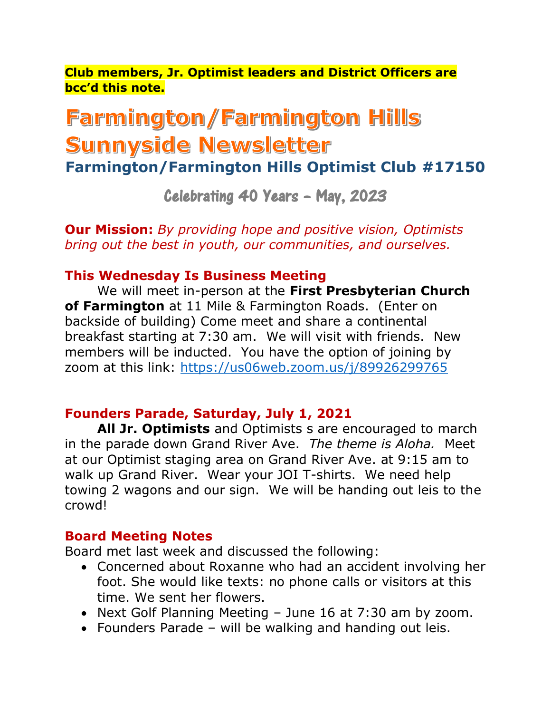**Club members, Jr. Optimist leaders and District Officers are bcc'd this note.**

# Farmington/Farmington Hills Sunnyside Newsletter

**Farmington/Farmington Hills Optimist Club #17150**

Celebrating 40 Years – May, 2023

**Our Mission:** *By providing hope and positive vision, Optimists bring out the best in youth, our communities, and ourselves.*

## **This Wednesday Is Business Meeting**

We will meet in-person at the **First Presbyterian Church of Farmington** at 11 Mile & Farmington Roads. (Enter on backside of building) Come meet and share a continental breakfast starting at 7:30 am. We will visit with friends. New members will be inducted. You have the option of joining by zoom at this link:<https://us06web.zoom.us/j/89926299765>

# **Founders Parade, Saturday, July 1, 2021**

**All Jr. Optimists** and Optimists s are encouraged to march in the parade down Grand River Ave. *The theme is Aloha.* Meet at our Optimist staging area on Grand River Ave. at 9:15 am to walk up Grand River. Wear your JOI T-shirts. We need help towing 2 wagons and our sign. We will be handing out leis to the crowd!

### **Board Meeting Notes**

Board met last week and discussed the following:

- Concerned about Roxanne who had an accident involving her foot. She would like texts: no phone calls or visitors at this time. We sent her flowers.
- Next Golf Planning Meeting June 16 at 7:30 am by zoom.
- Founders Parade will be walking and handing out leis.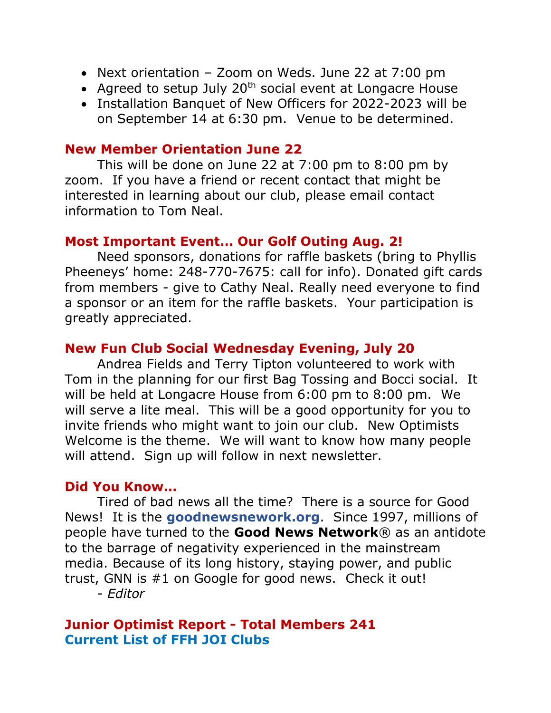- Next orientation Zoom on Weds. June 22 at 7:00 pm
- Agreed to setup July  $20<sup>th</sup>$  social event at Longacre House
- Installation Banquet of New Officers for 2022-2023 will be on September 14 at 6:30 pm. Venue to be determined.

### **New Member Orientation June 22**

This will be done on June 22 at 7:00 pm to 8:00 pm by zoom. If you have a friend or recent contact that might be interested in learning about our club, please email contact information to Tom Neal.

### **Most Important Event… Our Golf Outing Aug. 2!**

Need sponsors, donations for raffle baskets (bring to Phyllis Pheeneys' home: 248-770-7675: call for info). Donated gift cards from members - give to Cathy Neal. Really need everyone to find a sponsor or an item for the raffle baskets. Your participation is greatly appreciated.

# **New Fun Club Social Wednesday Evening, July 20**

Andrea Fields and Terry Tipton volunteered to work with Tom in the planning for our first Bag Tossing and Bocci social. It will be held at Longacre House from 6:00 pm to 8:00 pm. We will serve a lite meal. This will be a good opportunity for you to invite friends who might want to join our club. New Optimists Welcome is the theme. We will want to know how many people will attend. Sign up will follow in next newsletter.

### **Did You Know…**

Tired of bad news all the time? There is a source for Good News! It is the **goodnewsnework.org**. Since 1997, millions of people have turned to the **Good News Network**® as an antidote to the barrage of negativity experienced in the mainstream media. Because of its long history, staying power, and public trust, GNN is #1 on Google for good news. Check it out! - *Editor*

### **Junior Optimist Report - Total Members 241 Current List of FFH JOI Clubs**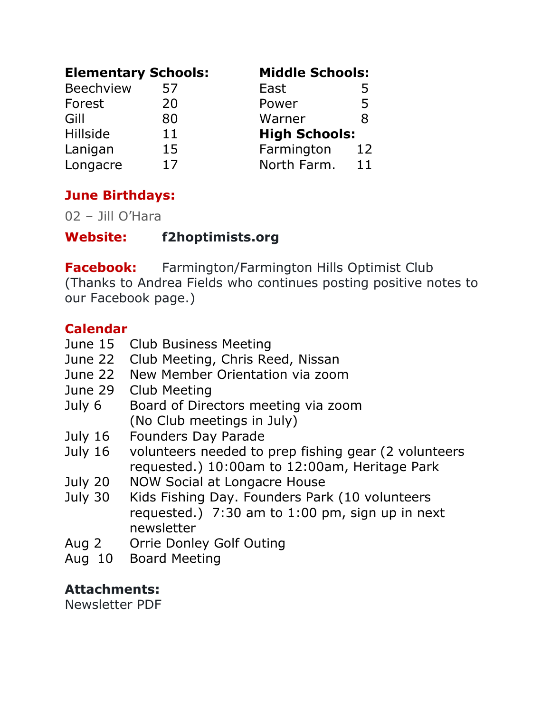| <b>Elementary Schools:</b> |    | <b>Middle Schools:</b> |              |
|----------------------------|----|------------------------|--------------|
| <b>Beechview</b>           | 57 | East                   | $\mathbf{b}$ |
| Forest                     | 20 | Power                  | 5            |
| Gill                       | 80 | Warner                 | R            |
| Hillside                   | 11 | <b>High Schools:</b>   |              |
| Lanigan                    | 15 | Farmington             | 12           |
| Longacre                   | 17 | North Farm.            | 11           |

# **June Birthdays:**

02 – Jill O'Hara

**Website: f2hoptimists.org**

**Facebook:** Farmington/Farmington Hills Optimist Club (Thanks to Andrea Fields who continues posting positive notes to our Facebook page.)

# **Calendar**

- June 15 Club Business Meeting
- June 22 Club Meeting, Chris Reed, Nissan
- June 22 New Member Orientation via zoom
- June 29 Club Meeting
- July 6 Board of Directors meeting via zoom (No Club meetings in July)
- July 16 Founders Day Parade
- July 16 volunteers needed to prep fishing gear (2 volunteers requested.) 10:00am to 12:00am, Heritage Park
- July 20 NOW Social at Longacre House
- July 30 Kids Fishing Day. Founders Park (10 volunteers requested.) 7:30 am to 1:00 pm, sign up in next newsletter
- Aug 2 Orrie Donley Golf Outing
- Aug 10 Board Meeting

# **Attachments:**

Newsletter PDF